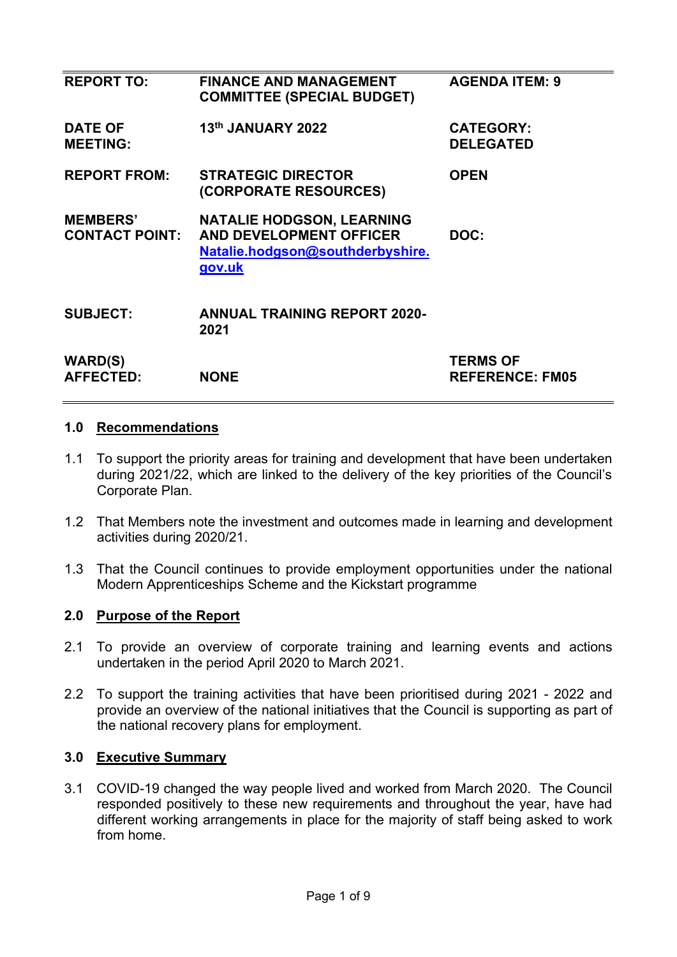| <b>REPORT TO:</b>                        | <b>FINANCE AND MANAGEMENT</b><br><b>COMMITTEE (SPECIAL BUDGET)</b>                                               | <b>AGENDA ITEM: 9</b>                     |
|------------------------------------------|------------------------------------------------------------------------------------------------------------------|-------------------------------------------|
| <b>DATE OF</b><br><b>MEETING:</b>        | 13th JANUARY 2022                                                                                                | <b>CATEGORY:</b><br><b>DELEGATED</b>      |
| <b>REPORT FROM:</b>                      | <b>STRATEGIC DIRECTOR</b><br>(CORPORATE RESOURCES)                                                               | <b>OPEN</b>                               |
| <b>MEMBERS'</b><br><b>CONTACT POINT:</b> | <b>NATALIE HODGSON, LEARNING</b><br><b>AND DEVELOPMENT OFFICER</b><br>Natalie.hodgson@southderbyshire.<br>gov.uk | DOC:                                      |
| <b>SUBJECT:</b>                          | <b>ANNUAL TRAINING REPORT 2020-</b><br>2021                                                                      |                                           |
| <b>WARD(S)</b><br><b>AFFECTED:</b>       | <b>NONE</b>                                                                                                      | <b>TERMS OF</b><br><b>REFERENCE: FM05</b> |
|                                          |                                                                                                                  |                                           |

### **1.0 Recommendations**

- 1.1 To support the priority areas for training and development that have been undertaken during 2021/22, which are linked to the delivery of the key priorities of the Council's Corporate Plan.
- 1.2 That Members note the investment and outcomes made in learning and development activities during 2020/21.
- 1.3 That the Council continues to provide employment opportunities under the national Modern Apprenticeships Scheme and the Kickstart programme

## **2.0 Purpose of the Report**

- 2.1 To provide an overview of corporate training and learning events and actions undertaken in the period April 2020 to March 2021.
- 2.2 To support the training activities that have been prioritised during 2021 2022 and provide an overview of the national initiatives that the Council is supporting as part of the national recovery plans for employment.

### **3.0 Executive Summary**

3.1 COVID-19 changed the way people lived and worked from March 2020. The Council responded positively to these new requirements and throughout the year, have had different working arrangements in place for the majority of staff being asked to work from home.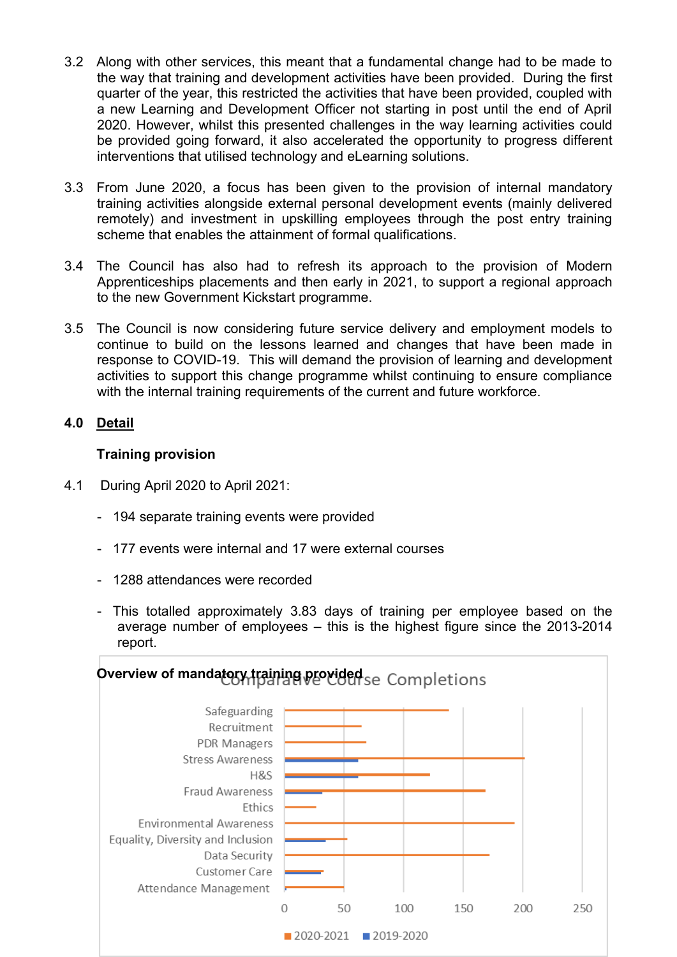- 3.2 Along with other services, this meant that a fundamental change had to be made to the way that training and development activities have been provided. During the first quarter of the year, this restricted the activities that have been provided, coupled with a new Learning and Development Officer not starting in post until the end of April 2020. However, whilst this presented challenges in the way learning activities could be provided going forward, it also accelerated the opportunity to progress different interventions that utilised technology and eLearning solutions.
- 3.3 From June 2020, a focus has been given to the provision of internal mandatory training activities alongside external personal development events (mainly delivered remotely) and investment in upskilling employees through the post entry training scheme that enables the attainment of formal qualifications.
- 3.4 The Council has also had to refresh its approach to the provision of Modern Apprenticeships placements and then early in 2021, to support a regional approach to the new Government Kickstart programme.
- 3.5 The Council is now considering future service delivery and employment models to continue to build on the lessons learned and changes that have been made in response to COVID-19. This will demand the provision of learning and development activities to support this change programme whilst continuing to ensure compliance with the internal training requirements of the current and future workforce.

## **4.0 Detail**

### **Training provision**

- 4.1 During April 2020 to April 2021:
	- 194 separate training events were provided
	- 177 events were internal and 17 were external courses
	- 1288 attendances were recorded
	- This totalled approximately 3.83 days of training per employee based on the average number of employees – this is the highest figure since the 2013-2014 report.

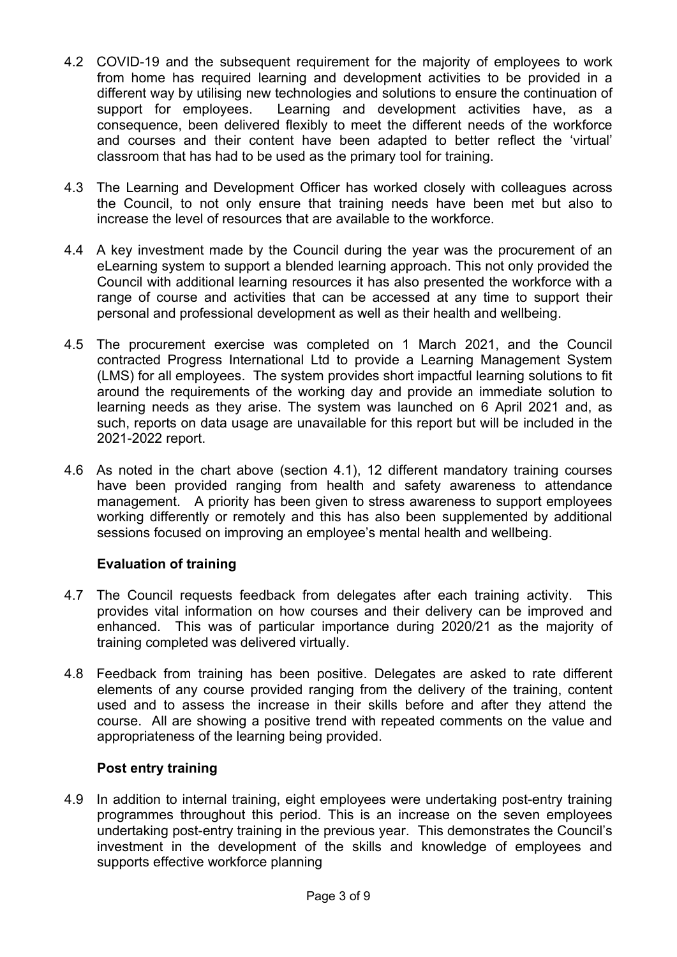- 4.2 COVID-19 and the subsequent requirement for the majority of employees to work from home has required learning and development activities to be provided in a different way by utilising new technologies and solutions to ensure the continuation of support for employees. Learning and development activities have, as a consequence, been delivered flexibly to meet the different needs of the workforce and courses and their content have been adapted to better reflect the 'virtual' classroom that has had to be used as the primary tool for training.
- 4.3 The Learning and Development Officer has worked closely with colleagues across the Council, to not only ensure that training needs have been met but also to increase the level of resources that are available to the workforce.
- 4.4 A key investment made by the Council during the year was the procurement of an eLearning system to support a blended learning approach. This not only provided the Council with additional learning resources it has also presented the workforce with a range of course and activities that can be accessed at any time to support their personal and professional development as well as their health and wellbeing.
- 4.5 The procurement exercise was completed on 1 March 2021, and the Council contracted Progress International Ltd to provide a Learning Management System (LMS) for all employees. The system provides short impactful learning solutions to fit around the requirements of the working day and provide an immediate solution to learning needs as they arise. The system was launched on 6 April 2021 and, as such, reports on data usage are unavailable for this report but will be included in the 2021-2022 report.
- 4.6 As noted in the chart above (section 4.1), 12 different mandatory training courses have been provided ranging from health and safety awareness to attendance management. A priority has been given to stress awareness to support employees working differently or remotely and this has also been supplemented by additional sessions focused on improving an employee's mental health and wellbeing.

## **Evaluation of training**

- 4.7 The Council requests feedback from delegates after each training activity. This provides vital information on how courses and their delivery can be improved and enhanced. This was of particular importance during 2020/21 as the majority of training completed was delivered virtually.
- 4.8 Feedback from training has been positive. Delegates are asked to rate different elements of any course provided ranging from the delivery of the training, content used and to assess the increase in their skills before and after they attend the course. All are showing a positive trend with repeated comments on the value and appropriateness of the learning being provided.

### **Post entry training**

4.9 In addition to internal training, eight employees were undertaking post-entry training programmes throughout this period. This is an increase on the seven employees undertaking post-entry training in the previous year. This demonstrates the Council's investment in the development of the skills and knowledge of employees and supports effective workforce planning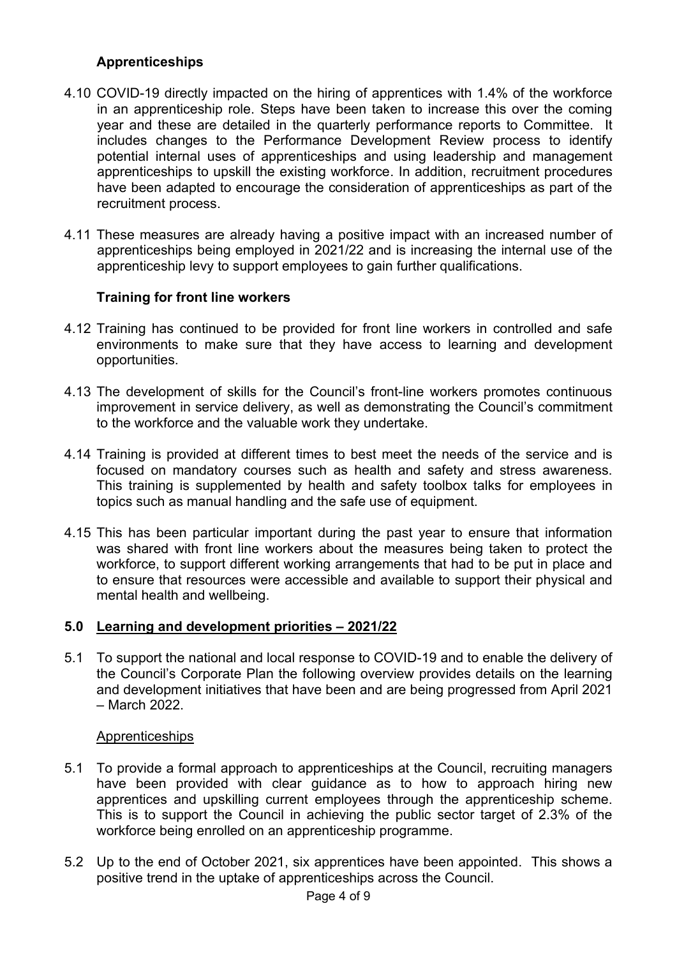## **Apprenticeships**

- 4.10 COVID-19 directly impacted on the hiring of apprentices with 1.4% of the workforce in an apprenticeship role. Steps have been taken to increase this over the coming year and these are detailed in the quarterly performance reports to Committee. It includes changes to the Performance Development Review process to identify potential internal uses of apprenticeships and using leadership and management apprenticeships to upskill the existing workforce. In addition, recruitment procedures have been adapted to encourage the consideration of apprenticeships as part of the recruitment process.
- 4.11 These measures are already having a positive impact with an increased number of apprenticeships being employed in 2021/22 and is increasing the internal use of the apprenticeship levy to support employees to gain further qualifications.

### **Training for front line workers**

- 4.12 Training has continued to be provided for front line workers in controlled and safe environments to make sure that they have access to learning and development opportunities.
- 4.13 The development of skills for the Council's front-line workers promotes continuous improvement in service delivery, as well as demonstrating the Council's commitment to the workforce and the valuable work they undertake.
- 4.14 Training is provided at different times to best meet the needs of the service and is focused on mandatory courses such as health and safety and stress awareness. This training is supplemented by health and safety toolbox talks for employees in topics such as manual handling and the safe use of equipment.
- 4.15 This has been particular important during the past year to ensure that information was shared with front line workers about the measures being taken to protect the workforce, to support different working arrangements that had to be put in place and to ensure that resources were accessible and available to support their physical and mental health and wellbeing.

### **5.0 Learning and development priorities – 2021/22**

5.1 To support the national and local response to COVID-19 and to enable the delivery of the Council's Corporate Plan the following overview provides details on the learning and development initiatives that have been and are being progressed from April 2021 – March 2022.

### **Apprenticeships**

- 5.1 To provide a formal approach to apprenticeships at the Council, recruiting managers have been provided with clear guidance as to how to approach hiring new apprentices and upskilling current employees through the apprenticeship scheme. This is to support the Council in achieving the public sector target of 2.3% of the workforce being enrolled on an apprenticeship programme.
- 5.2 Up to the end of October 2021, six apprentices have been appointed. This shows a positive trend in the uptake of apprenticeships across the Council.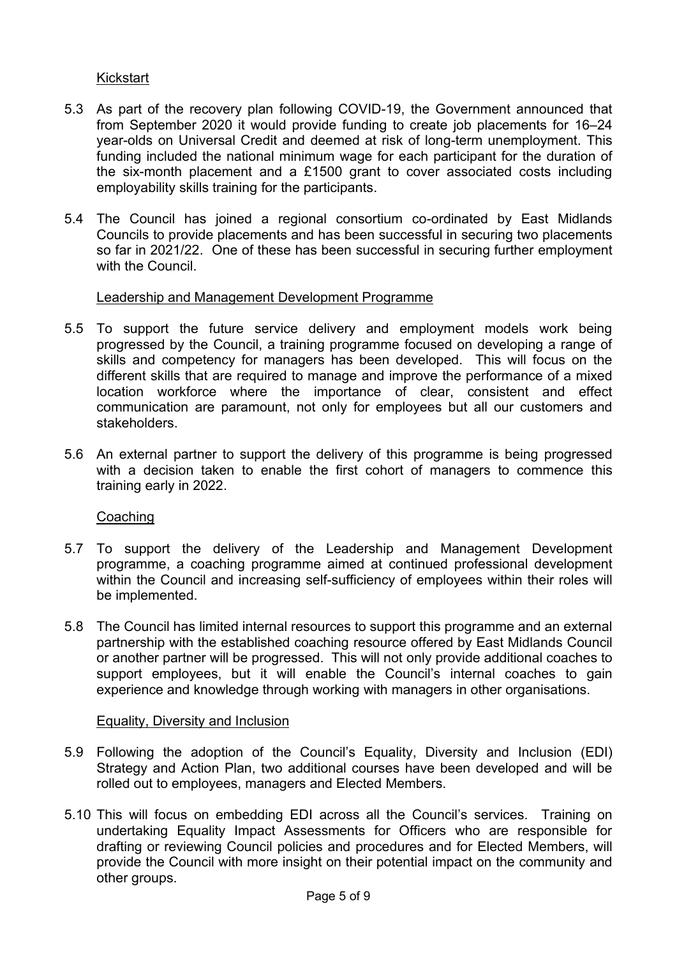### Kickstart

- 5.3 As part of the recovery plan following COVID-19, the Government announced that from September 2020 it would provide funding to create job placements for 16–24 year-olds on Universal Credit and deemed at risk of long-term unemployment. This funding included the national minimum wage for each participant for the duration of the six-month placement and a £1500 grant to cover associated costs including employability skills training for the participants.
- 5.4 The Council has joined a regional consortium co-ordinated by East Midlands Councils to provide placements and has been successful in securing two placements so far in 2021/22. One of these has been successful in securing further employment with the Council.

#### Leadership and Management Development Programme

- 5.5 To support the future service delivery and employment models work being progressed by the Council, a training programme focused on developing a range of skills and competency for managers has been developed. This will focus on the different skills that are required to manage and improve the performance of a mixed location workforce where the importance of clear, consistent and effect communication are paramount, not only for employees but all our customers and stakeholders.
- 5.6 An external partner to support the delivery of this programme is being progressed with a decision taken to enable the first cohort of managers to commence this training early in 2022.

#### Coaching

- 5.7 To support the delivery of the Leadership and Management Development programme, a coaching programme aimed at continued professional development within the Council and increasing self-sufficiency of employees within their roles will be implemented.
- 5.8 The Council has limited internal resources to support this programme and an external partnership with the established coaching resource offered by East Midlands Council or another partner will be progressed. This will not only provide additional coaches to support employees, but it will enable the Council's internal coaches to gain experience and knowledge through working with managers in other organisations.

#### Equality, Diversity and Inclusion

- 5.9 Following the adoption of the Council's Equality, Diversity and Inclusion (EDI) Strategy and Action Plan, two additional courses have been developed and will be rolled out to employees, managers and Elected Members.
- 5.10 This will focus on embedding EDI across all the Council's services. Training on undertaking Equality Impact Assessments for Officers who are responsible for drafting or reviewing Council policies and procedures and for Elected Members, will provide the Council with more insight on their potential impact on the community and other groups.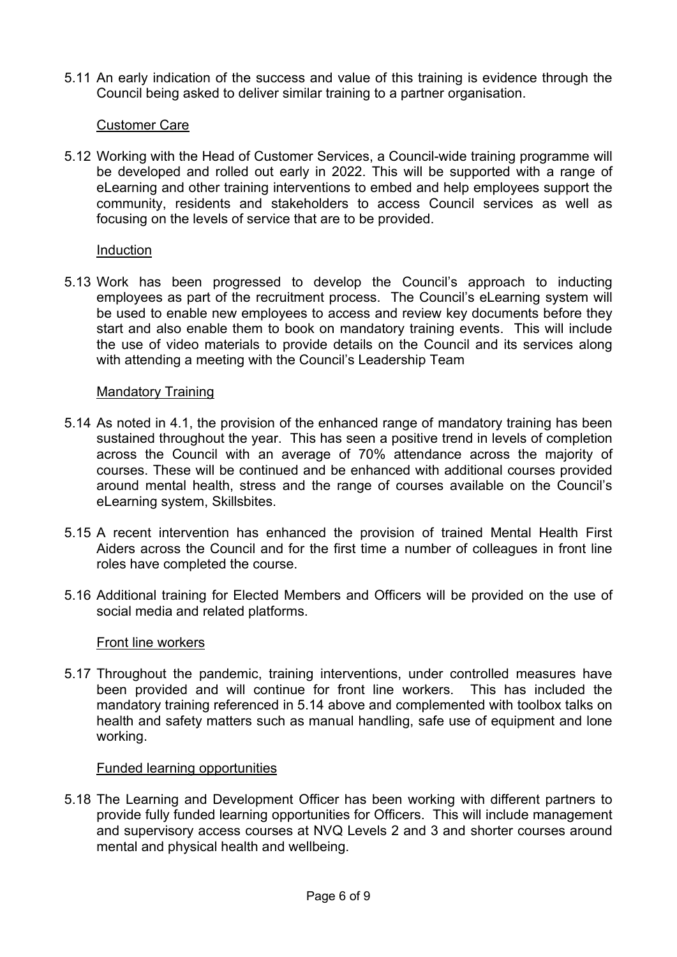5.11 An early indication of the success and value of this training is evidence through the Council being asked to deliver similar training to a partner organisation.

### Customer Care

5.12 Working with the Head of Customer Services, a Council-wide training programme will be developed and rolled out early in 2022. This will be supported with a range of eLearning and other training interventions to embed and help employees support the community, residents and stakeholders to access Council services as well as focusing on the levels of service that are to be provided.

#### **Induction**

5.13 Work has been progressed to develop the Council's approach to inducting employees as part of the recruitment process. The Council's eLearning system will be used to enable new employees to access and review key documents before they start and also enable them to book on mandatory training events. This will include the use of video materials to provide details on the Council and its services along with attending a meeting with the Council's Leadership Team

### Mandatory Training

- 5.14 As noted in 4.1, the provision of the enhanced range of mandatory training has been sustained throughout the year. This has seen a positive trend in levels of completion across the Council with an average of 70% attendance across the majority of courses. These will be continued and be enhanced with additional courses provided around mental health, stress and the range of courses available on the Council's eLearning system, Skillsbites.
- 5.15 A recent intervention has enhanced the provision of trained Mental Health First Aiders across the Council and for the first time a number of colleagues in front line roles have completed the course.
- 5.16 Additional training for Elected Members and Officers will be provided on the use of social media and related platforms.

#### Front line workers

5.17 Throughout the pandemic, training interventions, under controlled measures have been provided and will continue for front line workers. This has included the mandatory training referenced in 5.14 above and complemented with toolbox talks on health and safety matters such as manual handling, safe use of equipment and lone working.

#### Funded learning opportunities

5.18 The Learning and Development Officer has been working with different partners to provide fully funded learning opportunities for Officers. This will include management and supervisory access courses at NVQ Levels 2 and 3 and shorter courses around mental and physical health and wellbeing.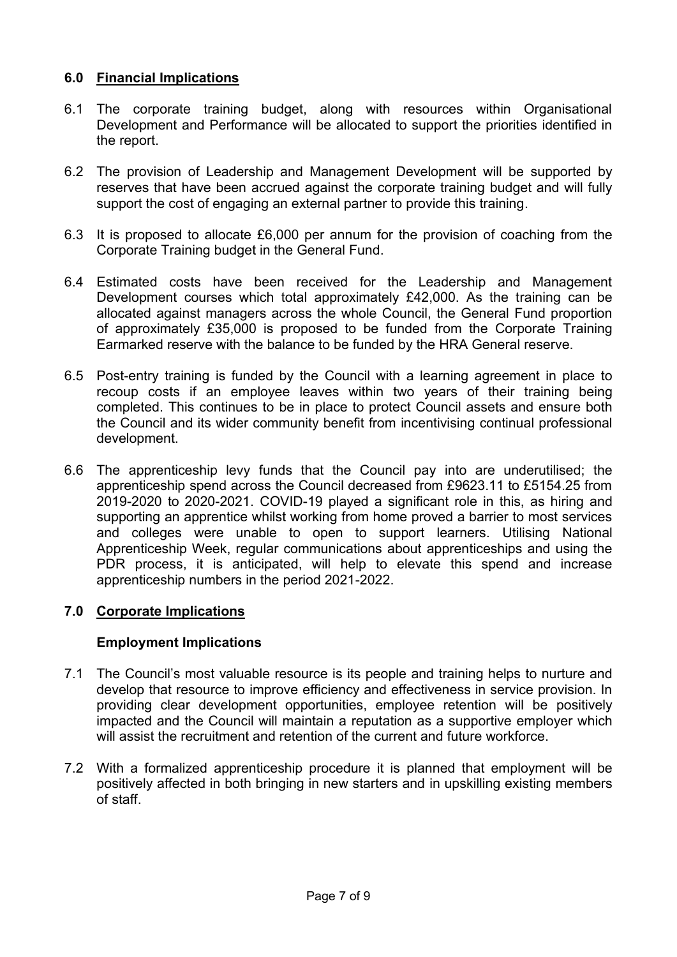## **6.0 Financial Implications**

- 6.1 The corporate training budget, along with resources within Organisational Development and Performance will be allocated to support the priorities identified in the report.
- 6.2 The provision of Leadership and Management Development will be supported by reserves that have been accrued against the corporate training budget and will fully support the cost of engaging an external partner to provide this training.
- 6.3 It is proposed to allocate £6,000 per annum for the provision of coaching from the Corporate Training budget in the General Fund.
- 6.4 Estimated costs have been received for the Leadership and Management Development courses which total approximately £42,000. As the training can be allocated against managers across the whole Council, the General Fund proportion of approximately £35,000 is proposed to be funded from the Corporate Training Earmarked reserve with the balance to be funded by the HRA General reserve.
- 6.5 Post-entry training is funded by the Council with a learning agreement in place to recoup costs if an employee leaves within two years of their training being completed. This continues to be in place to protect Council assets and ensure both the Council and its wider community benefit from incentivising continual professional development.
- 6.6 The apprenticeship levy funds that the Council pay into are underutilised; the apprenticeship spend across the Council decreased from £9623.11 to £5154.25 from 2019-2020 to 2020-2021. COVID-19 played a significant role in this, as hiring and supporting an apprentice whilst working from home proved a barrier to most services and colleges were unable to open to support learners. Utilising National Apprenticeship Week, regular communications about apprenticeships and using the PDR process, it is anticipated, will help to elevate this spend and increase apprenticeship numbers in the period 2021-2022.

## **7.0 Corporate Implications**

### **Employment Implications**

- 7.1 The Council's most valuable resource is its people and training helps to nurture and develop that resource to improve efficiency and effectiveness in service provision. In providing clear development opportunities, employee retention will be positively impacted and the Council will maintain a reputation as a supportive employer which will assist the recruitment and retention of the current and future workforce.
- 7.2 With a formalized apprenticeship procedure it is planned that employment will be positively affected in both bringing in new starters and in upskilling existing members of staff.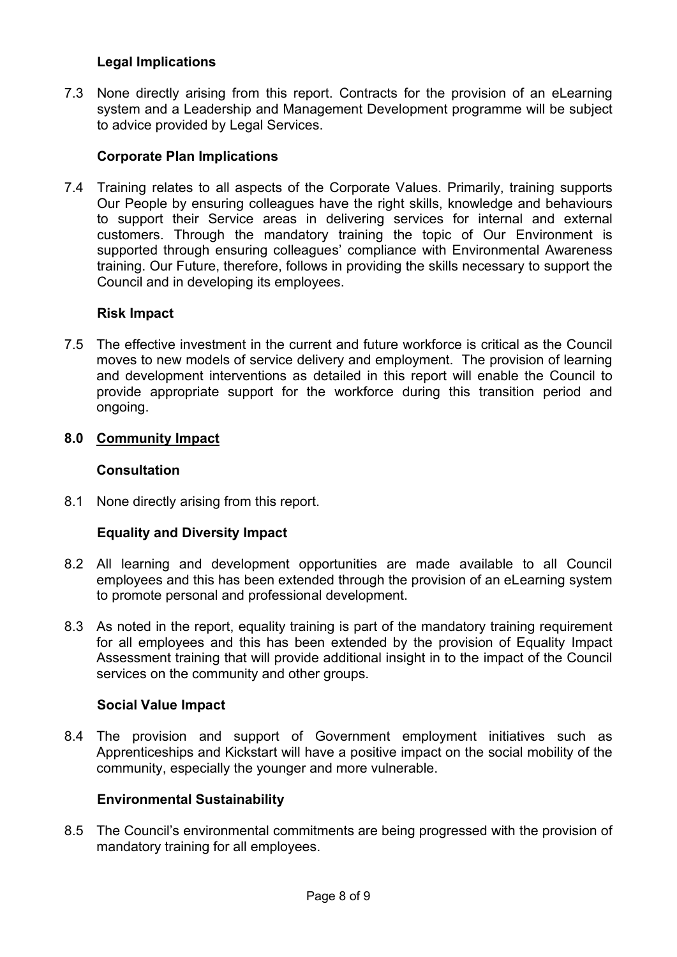### **Legal Implications**

7.3 None directly arising from this report. Contracts for the provision of an eLearning system and a Leadership and Management Development programme will be subject to advice provided by Legal Services.

### **Corporate Plan Implications**

7.4 Training relates to all aspects of the Corporate Values. Primarily, training supports Our People by ensuring colleagues have the right skills, knowledge and behaviours to support their Service areas in delivering services for internal and external customers. Through the mandatory training the topic of Our Environment is supported through ensuring colleagues' compliance with Environmental Awareness training. Our Future, therefore, follows in providing the skills necessary to support the Council and in developing its employees.

### **Risk Impact**

7.5 The effective investment in the current and future workforce is critical as the Council moves to new models of service delivery and employment. The provision of learning and development interventions as detailed in this report will enable the Council to provide appropriate support for the workforce during this transition period and ongoing.

### **8.0 Community Impact**

### **Consultation**

8.1 None directly arising from this report.

## **Equality and Diversity Impact**

- 8.2 All learning and development opportunities are made available to all Council employees and this has been extended through the provision of an eLearning system to promote personal and professional development.
- 8.3 As noted in the report, equality training is part of the mandatory training requirement for all employees and this has been extended by the provision of Equality Impact Assessment training that will provide additional insight in to the impact of the Council services on the community and other groups.

### **Social Value Impact**

8.4 The provision and support of Government employment initiatives such as Apprenticeships and Kickstart will have a positive impact on the social mobility of the community, especially the younger and more vulnerable.

### **Environmental Sustainability**

8.5 The Council's environmental commitments are being progressed with the provision of mandatory training for all employees.